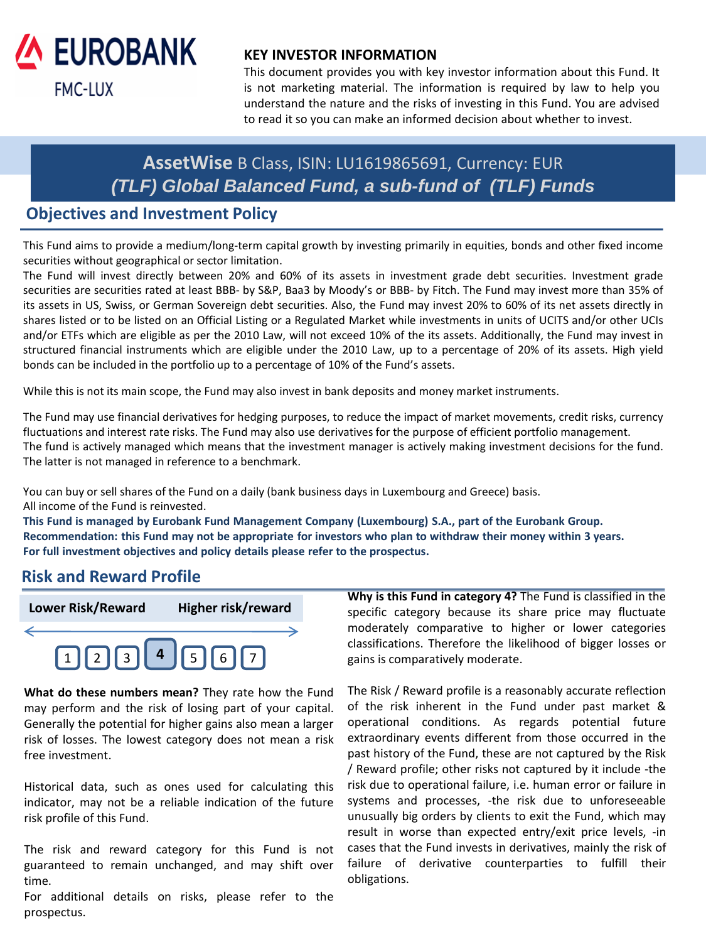

## **KEY INVESTOR INFORMATION**

This document provides you with key investor information about this Fund. It is not marketing material. The information is required by law to help you understand the nature and the risks of investing in this Fund. You are advised to read it so you can make an informed decision about whether to invest.

# **AssetWise** B Class, ISIN: LU1619865691, Currency: EUR *(TLF) Global Balanced Fund, a sub-fund of (TLF) Funds*

## **Objectives and Investment Policy**

This Fund aims to provide a medium/long-term capital growth by investing primarily in equities, bonds and other fixed income securities without geographical or sector limitation.

The Fund will invest directly between 20% and 60% of its assets in investment grade debt securities. Investment grade securities are securities rated at least BBB- by S&P, Baa3 by Moody's or BBB- by Fitch. The Fund may invest more than 35% of its assets in US, Swiss, or German Sovereign debt securities. Also, the Fund may invest 20% to 60% of its net assets directly in shares listed or to be listed on an Official Listing or a Regulated Market while investments in units of UCITS and/or other UCIs and/or ETFs which are eligible as per the 2010 Law, will not exceed 10% of the its assets. Additionally, the Fund may invest in structured financial instruments which are eligible under the 2010 Law, up to a percentage of 20% of its assets. High yield bonds can be included in the portfolio up to a percentage of 10% of the Fund's assets.

While this is not its main scope, the Fund may also invest in bank deposits and money market instruments.

The Fund may use financial derivatives for hedging purposes, to reduce the impact of market movements, credit risks, currency fluctuations and interest rate risks. The Fund may also use derivatives for the purpose of efficient portfolio management. The fund is actively managed which means that the investment manager is actively making investment decisions for the fund. The latter is not managed in reference to a benchmark.

You can buy or sell shares of the Fund on a daily (bank business days in Luxembourg and Greece) basis. All income of the Fund is reinvested.

**This Fund is managed by Eurobank Fund Management Company (Luxembourg) S.A., part of the Eurobank Group.** Recommendation: this Fund may not be appropriate for investors who plan to withdraw their money within 3 years. **For full investment objectives and policy details please refer to the prospectus.**

## **Risk and Reward Profile**



**What do these numbers mean?** They rate how the Fund may perform and the risk of losing part of your capital. Generally the potential for higher gains also mean a larger risk of losses. The lowest category does not mean a risk free investment.

Historical data, such as ones used for calculating this indicator, may not be a reliable indication of the future risk profile of this Fund.

The risk and reward category for this Fund is not guaranteed to remain unchanged, and may shift over time.

For additional details on risks, please refer to the prospectus.

**Why is this Fund in category 4?** The Fund is classified in the specific category because its share price may fluctuate moderately comparative to higher or lower categories classifications. Therefore the likelihood of bigger losses or gains is comparatively moderate.

The Risk / Reward profile is a reasonably accurate reflection of the risk inherent in the Fund under past market & operational conditions. As regards potential future extraordinary events different from those occurred in the past history of the Fund, these are not captured by the Risk / Reward profile; other risks not captured by it include -the risk due to operational failure, i.e. human error or failure in systems and processes, -the risk due to unforeseeable unusually big orders by clients to exit the Fund, which may result in worse than expected entry/exit price levels, -in cases that the Fund invests in derivatives, mainly the risk of failure of derivative counterparties to fulfill their obligations.